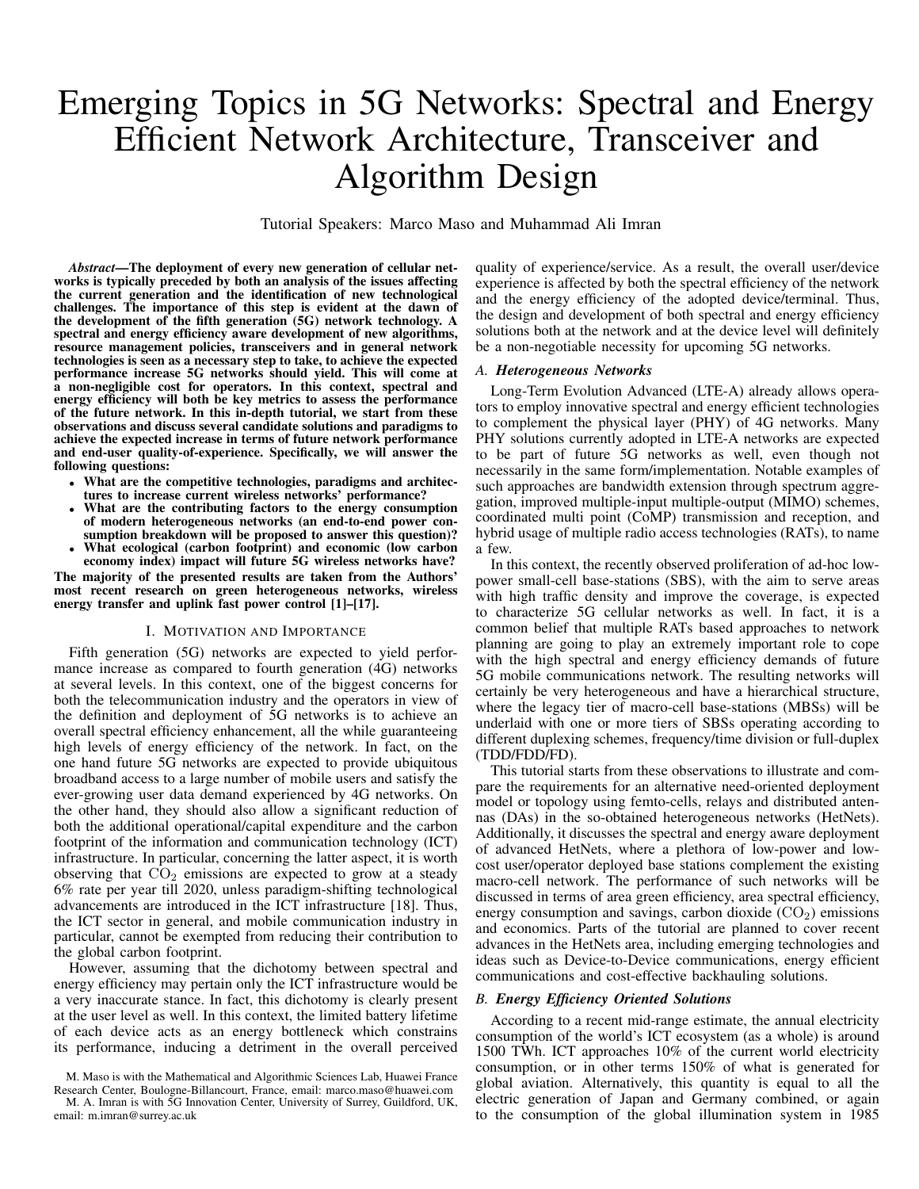# Emerging Topics in 5G Networks: Spectral and Energy Efficient Network Architecture, Transceiver and Algorithm Design

Tutorial Speakers: Marco Maso and Muhammad Ali Imran

*Abstract*—The deployment of every new generation of cellular networks is typically preceded by both an analysis of the issues affecting the current generation and the identification of new technological challenges. The importance of this step is evident at the dawn of the development of the fifth generation (5G) network technology. A spectral and energy efficiency aware development of new algorithms, resource management policies, transceivers and in general network technologies is seen as a necessary step to take, to achieve the expected performance increase 5G networks should yield. This will come at a non-negligible cost for operators. In this context, spectral and energy efficiency will both be key metrics to assess the performance of the future network. In this in-depth tutorial, we start from these observations and discuss several candidate solutions and paradigms to achieve the expected increase in terms of future network performance and end-user quality-of-experience. Specifically, we will answer the following questions:

- What are the competitive technologies, paradigms and architectures to increase current wireless networks' performance?
- What are the contributing factors to the energy consumption of modern heterogeneous networks (an end-to-end power consumption breakdown will be proposed to answer this question)? • What ecological (carbon footprint) and economic (low carbon
- economy index) impact will future 5G wireless networks have?

The majority of the presented results are taken from the Authors' most recent research on green heterogeneous networks, wireless energy transfer and uplink fast power control [1]–[17].

#### I. MOTIVATION AND IMPORTANCE

Fifth generation (5G) networks are expected to yield performance increase as compared to fourth generation (4G) networks at several levels. In this context, one of the biggest concerns for both the telecommunication industry and the operators in view of the definition and deployment of 5G networks is to achieve an overall spectral efficiency enhancement, all the while guaranteeing high levels of energy efficiency of the network. In fact, on the one hand future 5G networks are expected to provide ubiquitous broadband access to a large number of mobile users and satisfy the ever-growing user data demand experienced by 4G networks. On the other hand, they should also allow a significant reduction of both the additional operational/capital expenditure and the carbon footprint of the information and communication technology (ICT) infrastructure. In particular, concerning the latter aspect, it is worth observing that  $CO<sub>2</sub>$  emissions are expected to grow at a steady 6% rate per year till 2020, unless paradigm-shifting technological advancements are introduced in the ICT infrastructure [18]. Thus, the ICT sector in general, and mobile communication industry in particular, cannot be exempted from reducing their contribution to the global carbon footprint.

However, assuming that the dichotomy between spectral and energy efficiency may pertain only the ICT infrastructure would be a very inaccurate stance. In fact, this dichotomy is clearly present at the user level as well. In this context, the limited battery lifetime of each device acts as an energy bottleneck which constrains its performance, inducing a detriment in the overall perceived quality of experience/service. As a result, the overall user/device experience is affected by both the spectral efficiency of the network and the energy efficiency of the adopted device/terminal. Thus, the design and development of both spectral and energy efficiency solutions both at the network and at the device level will definitely be a non-negotiable necessity for upcoming 5G networks.

# *A. Heterogeneous Networks*

Long-Term Evolution Advanced (LTE-A) already allows operators to employ innovative spectral and energy efficient technologies to complement the physical layer (PHY) of 4G networks. Many PHY solutions currently adopted in LTE-A networks are expected to be part of future 5G networks as well, even though not necessarily in the same form/implementation. Notable examples of such approaches are bandwidth extension through spectrum aggregation, improved multiple-input multiple-output (MIMO) schemes, coordinated multi point (CoMP) transmission and reception, and hybrid usage of multiple radio access technologies (RATs), to name a few.

In this context, the recently observed proliferation of ad-hoc lowpower small-cell base-stations (SBS), with the aim to serve areas with high traffic density and improve the coverage, is expected to characterize 5G cellular networks as well. In fact, it is a common belief that multiple RATs based approaches to network planning are going to play an extremely important role to cope with the high spectral and energy efficiency demands of future 5G mobile communications network. The resulting networks will certainly be very heterogeneous and have a hierarchical structure, where the legacy tier of macro-cell base-stations (MBSs) will be underlaid with one or more tiers of SBSs operating according to different duplexing schemes, frequency/time division or full-duplex (TDD/FDD/FD).

This tutorial starts from these observations to illustrate and compare the requirements for an alternative need-oriented deployment model or topology using femto-cells, relays and distributed antennas (DAs) in the so-obtained heterogeneous networks (HetNets). Additionally, it discusses the spectral and energy aware deployment of advanced HetNets, where a plethora of low-power and lowcost user/operator deployed base stations complement the existing macro-cell network. The performance of such networks will be discussed in terms of area green efficiency, area spectral efficiency, energy consumption and savings, carbon dioxide  $(CO<sub>2</sub>)$  emissions and economics. Parts of the tutorial are planned to cover recent advances in the HetNets area, including emerging technologies and ideas such as Device-to-Device communications, energy efficient communications and cost-effective backhauling solutions.

# *B. Energy Efficiency Oriented Solutions*

According to a recent mid-range estimate, the annual electricity consumption of the world's ICT ecosystem (as a whole) is around 1500 TWh. ICT approaches 10% of the current world electricity consumption, or in other terms 150% of what is generated for global aviation. Alternatively, this quantity is equal to all the electric generation of Japan and Germany combined, or again to the consumption of the global illumination system in 1985

M. Maso is with the Mathematical and Algorithmic Sciences Lab, Huawei France Research Center, Boulogne-Billancourt, France, email: marco.maso@huawei.com

M. A. Imran is with 5G Innovation Center, University of Surrey, Guildford, UK, email: m.imran@surrey.ac.uk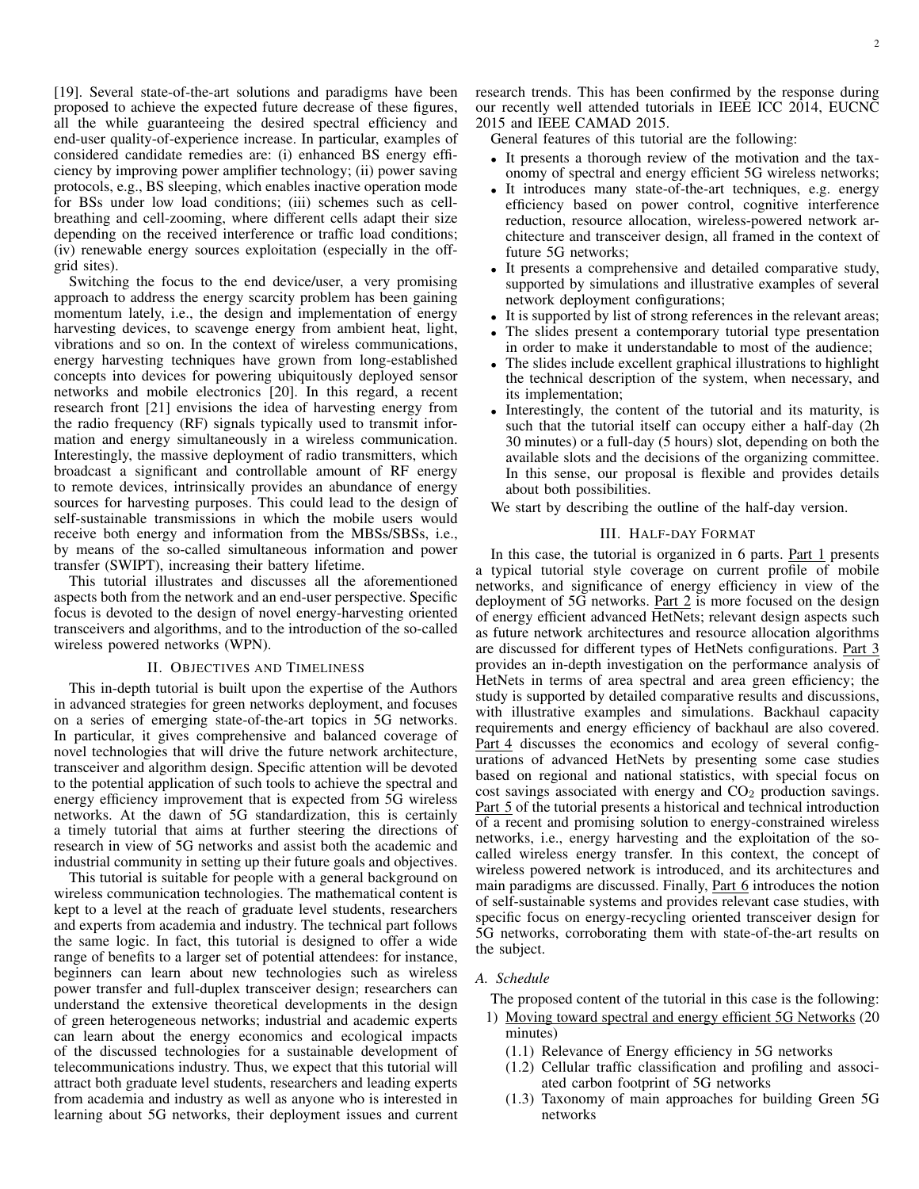[19]. Several state-of-the-art solutions and paradigms have been proposed to achieve the expected future decrease of these figures, all the while guaranteeing the desired spectral efficiency and end-user quality-of-experience increase. In particular, examples of considered candidate remedies are: (i) enhanced BS energy efficiency by improving power amplifier technology; (ii) power saving protocols, e.g., BS sleeping, which enables inactive operation mode for BSs under low load conditions; (iii) schemes such as cellbreathing and cell-zooming, where different cells adapt their size depending on the received interference or traffic load conditions; (iv) renewable energy sources exploitation (especially in the offgrid sites).

Switching the focus to the end device/user, a very promising approach to address the energy scarcity problem has been gaining momentum lately, i.e., the design and implementation of energy harvesting devices, to scavenge energy from ambient heat, light, vibrations and so on. In the context of wireless communications, energy harvesting techniques have grown from long-established concepts into devices for powering ubiquitously deployed sensor networks and mobile electronics [20]. In this regard, a recent research front [21] envisions the idea of harvesting energy from the radio frequency (RF) signals typically used to transmit information and energy simultaneously in a wireless communication. Interestingly, the massive deployment of radio transmitters, which broadcast a significant and controllable amount of RF energy to remote devices, intrinsically provides an abundance of energy sources for harvesting purposes. This could lead to the design of self-sustainable transmissions in which the mobile users would receive both energy and information from the MBSs/SBSs, i.e., by means of the so-called simultaneous information and power transfer (SWIPT), increasing their battery lifetime.

This tutorial illustrates and discusses all the aforementioned aspects both from the network and an end-user perspective. Specific focus is devoted to the design of novel energy-harvesting oriented transceivers and algorithms, and to the introduction of the so-called wireless powered networks (WPN).

#### II. OBJECTIVES AND TIMELINESS

This in-depth tutorial is built upon the expertise of the Authors in advanced strategies for green networks deployment, and focuses on a series of emerging state-of-the-art topics in 5G networks. In particular, it gives comprehensive and balanced coverage of novel technologies that will drive the future network architecture, transceiver and algorithm design. Specific attention will be devoted to the potential application of such tools to achieve the spectral and energy efficiency improvement that is expected from 5G wireless networks. At the dawn of 5G standardization, this is certainly a timely tutorial that aims at further steering the directions of research in view of 5G networks and assist both the academic and industrial community in setting up their future goals and objectives.

This tutorial is suitable for people with a general background on wireless communication technologies. The mathematical content is kept to a level at the reach of graduate level students, researchers and experts from academia and industry. The technical part follows the same logic. In fact, this tutorial is designed to offer a wide range of benefits to a larger set of potential attendees: for instance, beginners can learn about new technologies such as wireless power transfer and full-duplex transceiver design; researchers can understand the extensive theoretical developments in the design of green heterogeneous networks; industrial and academic experts can learn about the energy economics and ecological impacts of the discussed technologies for a sustainable development of telecommunications industry. Thus, we expect that this tutorial will attract both graduate level students, researchers and leading experts from academia and industry as well as anyone who is interested in learning about 5G networks, their deployment issues and current research trends. This has been confirmed by the response during our recently well attended tutorials in IEEE ICC 2014, EUCNC 2015 and IEEE CAMAD 2015.

General features of this tutorial are the following:

- It presents a thorough review of the motivation and the taxonomy of spectral and energy efficient 5G wireless networks;
- It introduces many state-of-the-art techniques, e.g. energy efficiency based on power control, cognitive interference reduction, resource allocation, wireless-powered network architecture and transceiver design, all framed in the context of future 5G networks;
- It presents a comprehensive and detailed comparative study, supported by simulations and illustrative examples of several network deployment configurations;
- It is supported by list of strong references in the relevant areas;
- The slides present a contemporary tutorial type presentation in order to make it understandable to most of the audience;
- The slides include excellent graphical illustrations to highlight the technical description of the system, when necessary, and its implementation;
- Interestingly, the content of the tutorial and its maturity, is such that the tutorial itself can occupy either a half-day (2h 30 minutes) or a full-day (5 hours) slot, depending on both the available slots and the decisions of the organizing committee. In this sense, our proposal is flexible and provides details about both possibilities.

We start by describing the outline of the half-day version.

#### III. HALF-DAY FORMAT

In this case, the tutorial is organized in 6 parts. Part 1 presents a typical tutorial style coverage on current profile of mobile networks, and significance of energy efficiency in view of the deployment of 5G networks. Part 2 is more focused on the design of energy efficient advanced HetNets; relevant design aspects such as future network architectures and resource allocation algorithms are discussed for different types of HetNets configurations. Part 3 provides an in-depth investigation on the performance analysis of HetNets in terms of area spectral and area green efficiency; the study is supported by detailed comparative results and discussions, with illustrative examples and simulations. Backhaul capacity requirements and energy efficiency of backhaul are also covered. Part 4 discusses the economics and ecology of several configurations of advanced HetNets by presenting some case studies based on regional and national statistics, with special focus on cost savings associated with energy and  $CO<sub>2</sub>$  production savings. Part 5 of the tutorial presents a historical and technical introduction of a recent and promising solution to energy-constrained wireless networks, i.e., energy harvesting and the exploitation of the socalled wireless energy transfer. In this context, the concept of wireless powered network is introduced, and its architectures and main paradigms are discussed. Finally, Part 6 introduces the notion of self-sustainable systems and provides relevant case studies, with specific focus on energy-recycling oriented transceiver design for 5G networks, corroborating them with state-of-the-art results on the subject.

### *A. Schedule*

The proposed content of the tutorial in this case is the following:

- 1) Moving toward spectral and energy efficient 5G Networks (20 minutes)
	- (1.1) Relevance of Energy efficiency in 5G networks
	- (1.2) Cellular traffic classification and profiling and associated carbon footprint of 5G networks
	- (1.3) Taxonomy of main approaches for building Green 5G networks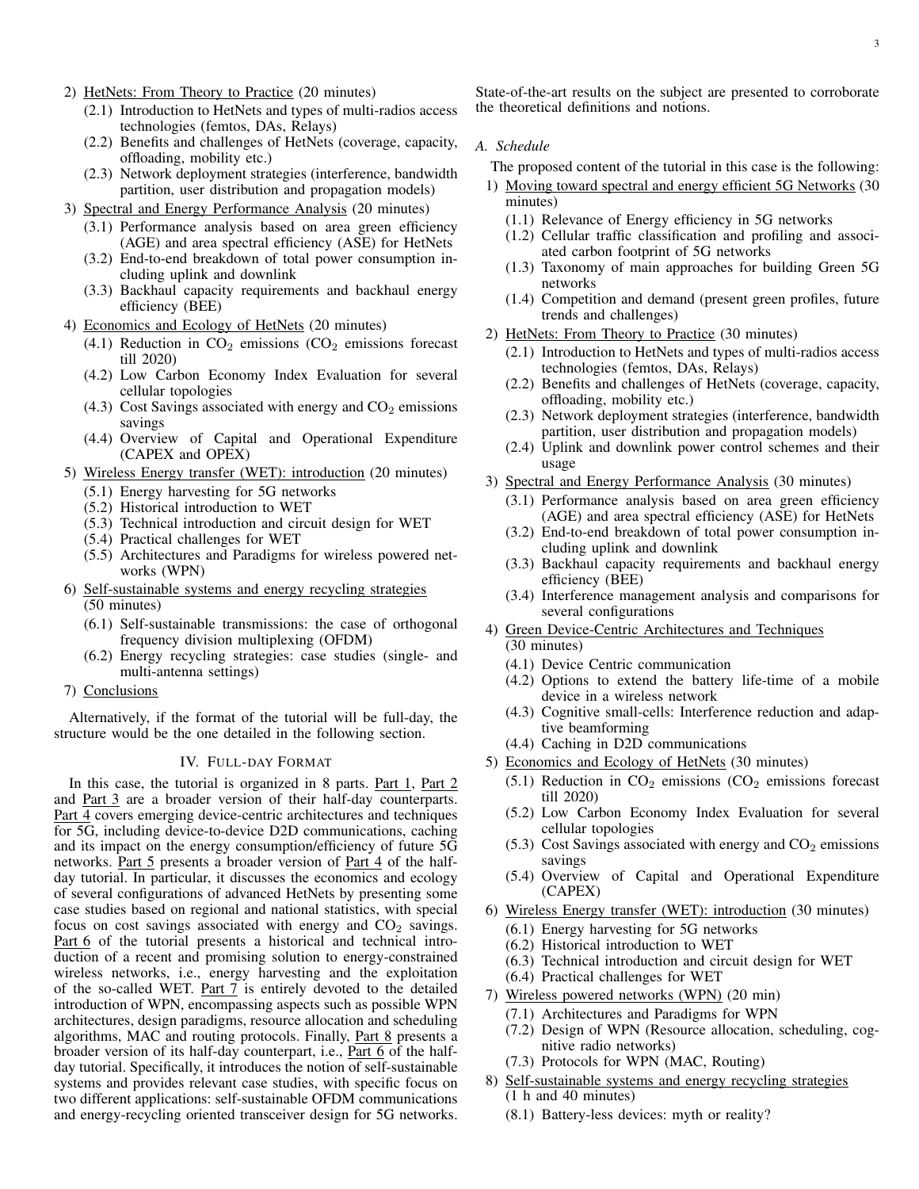- 2) HetNets: From Theory to Practice (20 minutes)
	- (2.1) Introduction to HetNets and types of multi-radios access technologies (femtos, DAs, Relays)
	- (2.2) Benefits and challenges of HetNets (coverage, capacity, offloading, mobility etc.)
	- (2.3) Network deployment strategies (interference, bandwidth partition, user distribution and propagation models)
- 3) Spectral and Energy Performance Analysis (20 minutes)
	- (3.1) Performance analysis based on area green efficiency (AGE) and area spectral efficiency (ASE) for HetNets
	- (3.2) End-to-end breakdown of total power consumption including uplink and downlink
	- (3.3) Backhaul capacity requirements and backhaul energy efficiency (BEE)
- 4) Economics and Ecology of HetNets (20 minutes)
	- (4.1) Reduction in  $CO<sub>2</sub>$  emissions ( $CO<sub>2</sub>$  emissions forecast till 2020)
	- (4.2) Low Carbon Economy Index Evaluation for several cellular topologies
	- (4.3) Cost Savings associated with energy and  $CO<sub>2</sub>$  emissions savings
	- (4.4) Overview of Capital and Operational Expenditure (CAPEX and OPEX)
- 5) Wireless Energy transfer (WET): introduction (20 minutes)
	- (5.1) Energy harvesting for 5G networks
	- (5.2) Historical introduction to WET
	- (5.3) Technical introduction and circuit design for WET
	- (5.4) Practical challenges for WET
	- (5.5) Architectures and Paradigms for wireless powered networks (WPN)
- 6) Self-sustainable systems and energy recycling strategies (50 minutes)
	- (6.1) Self-sustainable transmissions: the case of orthogonal frequency division multiplexing (OFDM)
	- (6.2) Energy recycling strategies: case studies (single- and multi-antenna settings)
- 7) Conclusions

Alternatively, if the format of the tutorial will be full-day, the structure would be the one detailed in the following section.

## IV. FULL-DAY FORMAT

In this case, the tutorial is organized in 8 parts. Part 1, Part 2 and Part 3 are a broader version of their half-day counterparts. Part 4 covers emerging device-centric architectures and techniques for 5G, including device-to-device D2D communications, caching and its impact on the energy consumption/efficiency of future 5G networks. Part 5 presents a broader version of Part 4 of the halfday tutorial. In particular, it discusses the economics and ecology of several configurations of advanced HetNets by presenting some case studies based on regional and national statistics, with special focus on cost savings associated with energy and  $CO<sub>2</sub>$  savings. Part 6 of the tutorial presents a historical and technical introduction of a recent and promising solution to energy-constrained wireless networks, i.e., energy harvesting and the exploitation of the so-called WET. Part 7 is entirely devoted to the detailed introduction of WPN, encompassing aspects such as possible WPN architectures, design paradigms, resource allocation and scheduling algorithms, MAC and routing protocols. Finally, Part 8 presents a broader version of its half-day counterpart, i.e., Part 6 of the halfday tutorial. Specifically, it introduces the notion of self-sustainable systems and provides relevant case studies, with specific focus on two different applications: self-sustainable OFDM communications and energy-recycling oriented transceiver design for 5G networks.

State-of-the-art results on the subject are presented to corroborate the theoretical definitions and notions.

### *A. Schedule*

The proposed content of the tutorial in this case is the following:

- 1) Moving toward spectral and energy efficient 5G Networks (30 minutes)
	- (1.1) Relevance of Energy efficiency in 5G networks
	- (1.2) Cellular traffic classification and profiling and associated carbon footprint of 5G networks
	- (1.3) Taxonomy of main approaches for building Green 5G networks
	- (1.4) Competition and demand (present green profiles, future trends and challenges)
- 2) HetNets: From Theory to Practice (30 minutes)
	- (2.1) Introduction to HetNets and types of multi-radios access technologies (femtos, DAs, Relays)
	- (2.2) Benefits and challenges of HetNets (coverage, capacity, offloading, mobility etc.)
	- (2.3) Network deployment strategies (interference, bandwidth partition, user distribution and propagation models)
	- (2.4) Uplink and downlink power control schemes and their usage
- 3) Spectral and Energy Performance Analysis (30 minutes)
	- (3.1) Performance analysis based on area green efficiency (AGE) and area spectral efficiency (ASE) for HetNets
	- (3.2) End-to-end breakdown of total power consumption including uplink and downlink
	- (3.3) Backhaul capacity requirements and backhaul energy efficiency (BEE)
	- (3.4) Interference management analysis and comparisons for several configurations
- 4) Green Device-Centric Architectures and Techniques (30 minutes)
	- (4.1) Device Centric communication
	- (4.2) Options to extend the battery life-time of a mobile device in a wireless network
	- (4.3) Cognitive small-cells: Interference reduction and adaptive beamforming
	- (4.4) Caching in D2D communications
- 5) Economics and Ecology of HetNets (30 minutes)
	- $(5.1)$  Reduction in CO<sub>2</sub> emissions (CO<sub>2</sub> emissions forecast till 2020)
	- (5.2) Low Carbon Economy Index Evaluation for several cellular topologies
	- (5.3) Cost Savings associated with energy and  $CO<sub>2</sub>$  emissions savings
	- (5.4) Overview of Capital and Operational Expenditure (CAPEX)
- 6) Wireless Energy transfer (WET): introduction (30 minutes)
	- (6.1) Energy harvesting for 5G networks
	- (6.2) Historical introduction to WET
	- (6.3) Technical introduction and circuit design for WET
	- (6.4) Practical challenges for WET
- 7) Wireless powered networks (WPN) (20 min)
	- (7.1) Architectures and Paradigms for WPN
		- (7.2) Design of WPN (Resource allocation, scheduling, cognitive radio networks)
		- (7.3) Protocols for WPN (MAC, Routing)
- 8) Self-sustainable systems and energy recycling strategies (1 h and 40 minutes)
	- (8.1) Battery-less devices: myth or reality?